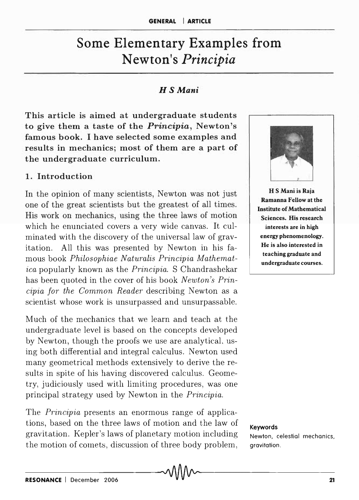# Some Elementary Examples from Newton's *Principia*

#### *H S Mani*

This article is aimed at undergraduate students to give them a taste of the *Principia,* Newton's famous book. I have selected some examples and results in mechanics; most of them are a part of the undergraduate curriculum.

### 1. Introduction

In the opinion of many scientists, Newton was not just one of the great scientists but the greatest of all times. His work on mechanics, using the three laws of motion which he enunciated covers a very wide canvas. It culminated with the discovery of the universal law of gravitation. All this was presented by Newton in his famous book *Philosophiae Naturalis Principia Mathematica* popularly known as the *Principia.* S Chandrashekar has been quoted in the cover of his book *Newton's Principia for the Common Reader* describing Newton as a scientist whose work is unsurpassed and unsurpassable.

Much of the mechanics that we learn and teach at the undergraduate level is based on the concepts developed by Newton, though the proofs we use are analytical, using both differential and integral calculus. Newton used many geometrical methods extensively to derive the results in spite of his having discovered calculus. Geometry, judiciously used with limiting procedures, was one principal strategy used by Newton in the *Principia.* 

The *Principia* presents an enormous range of applications, based on the three laws of motion and the law of gravitation. Kepler's laws of planetary motion including the motion of cornets, discussion of three body problem,



H S Mani is Raja Ramanna Fellow at the Institute of Mathematical Sciences. His research interests are in high energy phenomenology. He is also interested in teaching graduate and undergraduate courses.

Keywords

Newton, celestial mechanics, gravitation.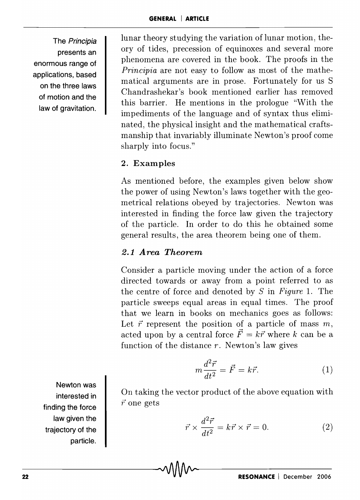The Principia presents an enormous range of applications, based on the three laws of motion and the law of gravitation.

lunar theory studying the variation of lunar motion, theory of tides, precession of equinoxes and several more phenomena are covered in the book. The proofs in the *Principia* are not easy to follow as most of the mathematical arguments are in prose. Fortunately for us S Chandrashekar's book mentioned earlier has removed this barrier. He mentions in the prologue "With the impediments of the language and of syntax thus eliminated, the physical insight and the mathematical craftsmanship that invariably illuminate Newton's proof come sharply into focus."

# 2. Examples

As mentioned before, the examples given below show the power of using Newton's laws together with the geometrical relations obeyed by trajectories. Newton was interested in finding the force law given the trajectory of the particle. In order to do this he obtained some general results, the area theorem being one of them.

# *2.1* A *rea Theorem*

Consider a particle moving under the action of a force directed towards or away from a point referred to as the centre of force and denoted by *S* in *Figure* 1. The particle sweeps equal areas in equal times. The proof that we learn in books on mechanics goes as follows: Let  $\vec{r}$  represent the position of a particle of mass  $m$ , acted upon by a central force  $\vec{F} = k\vec{r}$  where *k* can be a function of the distance *r.* Newton's law gives

$$
m\frac{d^2\vec{r}}{dt^2} = \vec{F} = k\vec{r}.\tag{1}
$$

Newton was interested in finding the force law given the trajectory of the particle.

On taking the vector product of the above equation with  $\vec{r}$  one gets

$$
\vec{r} \times \frac{d^2 \vec{r}}{dt^2} = k \vec{r} \times \vec{r} = 0.
$$
 (2)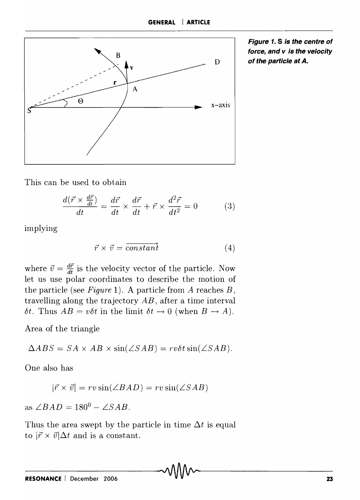

**Figure 1. S is the centre of force, and v is the velocity of the particle at A.** 

This can be used to obtain

$$
\frac{d(\vec{r} \times \frac{d\vec{r}}{dt})}{dt} = \frac{d\vec{r}}{dt} \times \frac{d\vec{r}}{dt} + \vec{r} \times \frac{d^2\vec{r}}{dt^2} = 0
$$
 (3)

implying

$$
\vec{r} \times \vec{v} = \overrightarrow{constant} \tag{4}
$$

where  $\vec{v} = \frac{d\vec{r}}{dt}$  is the velocity vector of the particle. Now let us use polar coordinates to describe the motion of the particle (see *Figure* 1). A particle from *A* reaches *B,*  travelling along the trajectory *AB,* after a time interval  $\delta t$ . Thus  $AB = v\delta t$  in the limit  $\delta t \rightarrow 0$  (when  $B \rightarrow A$ ).

Area of the triangle

 $\triangle ABS = SA \times AB \times \sin(\angle SAB) = rv\delta t \sin(\angle SAB).$ 

One also has

$$
|\vec{r} \times \vec{v}| = rv \sin(\angle BAD) = rv \sin(\angle SAB)
$$

as  $\angle BAD = 180^0 - \angle SAB$ .

Thus the area swept by the particle in time  $\Delta t$  is equal to  $|\vec{r} \times \vec{v}| \Delta t$  and is a constant.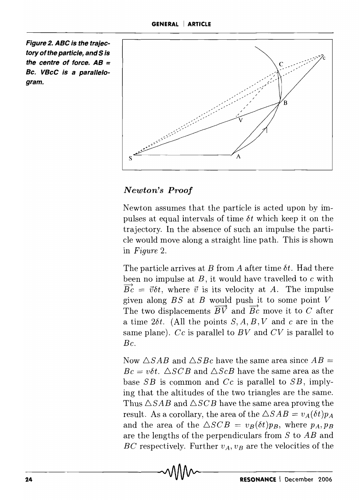**Figure 2. ABC is the trajectory of the particle, and 5 is the centre of force. AB = Bc. VBcC is a parallelogram.** 



# *Newton's Proof*

Newton assumes that the particle is acted upon by impulses at equal intervals of time *bt* which keep it on the trajectory. In the absence of such an impulse the particle would move along a straight line path. This is shown in *Figure 2.* 

The particle arrives at *B* from *A* after time *bt.* Had there been no impulse at *B*, it would have travelled to *c* with  $\overrightarrow{Bc} = \overrightarrow{v}\delta t$ , where  $\overrightarrow{v}$  is its velocity at *A*. The impulse given along  $BS$  at  $B$  would push it to some point  $V$ The two displacements  $\overrightarrow{BV}$  and  $\overrightarrow{Bc}$  move it to C after a time  $2\delta t$ . (All the points *S, A, B, V* and *c* are in the same plane). Cc is parallel to BV and CV is parallel to *Be.* 

Now  $\triangle SAB$  and  $\triangle SBC$  have the same area since  $AB =$  $Bc = v\delta t$ .  $\triangle SCB$  and  $\triangle ScB$  have the same area as the base *SB* is common and *Cc* is parallel to *SB*, implying that the altitudes of the two triangles are the same. Thus  $\triangle SAB$  and  $\triangle SCB$  have the same area proving the result. As a corollary, the area of the  $\triangle SAB = v_A(\delta t)p_A$ and the area of the  $\triangle SCB = v_B(\delta t)p_B$ , where  $p_A, p_B$ are the lengths of the perpendiculars from S to AB and BC respectively. Further  $v_A$ ,  $v_B$  are the velocities of the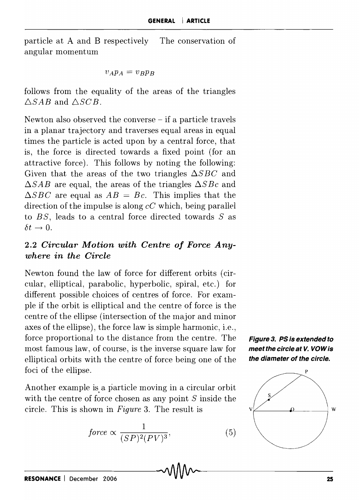particle at A and B respectively The conservation of angular momentum

$$
v_A p_A = v_B p_B
$$

follows from the equality of the areas of the triangles *6SAB* and *6SGB.* 

Newton also observed the converse – if a particle travels in a planar trajectory and traverses equal areas in equal times the particle is acted upon by a central force, that is, the force is directed towards a fixed point (for an attractive force). This follows by noting the following: Given that the areas of the two triangles  $\Delta SBC$  and  $\Delta SAB$  are equal, the areas of the triangles  $\Delta S B c$  and  $\triangle SBC$  are equal as  $AB = Bc$ . This implies that the direction of the impulse is along *cG* which, being parallel to *B S,* leads to a central force directed towards *S* as  $\delta t \rightarrow 0$ .

## 2.2 *Circular Motion with Centre of Force Anywhere in the Circle*

Newton found the law of force for different orbits (circular, elliptical, parabolic, hyperbolic, spiral, etc.) for different possible choices of centres of force. For example if the orbit is elliptical and the centre of force is the centre of the ellipse (intersection of the major and minor axes of the ellipse), the force law is simple harmonic, i.e., force proportional to the distance from the centre. The  $\blacksquare$  Figure 3. PS is extended to most famous law, of course, is the inverse square law for **meet the circle at** *V***.** *VOWis* elliptical orbits with the centre of force being one of the  $\theta$  the *diameter* of the circle. foci of the ellipse.

Another example is, a particle moving in a circular orbit with the centre of force chosen as any point *S* inside the circle. This is shown in *Figure 3*. The result is  $v \not\perp \qquad 0 \qquad v$  w

$$
force \propto \frac{1}{(SP)^2 (PV)^3},\tag{5}
$$



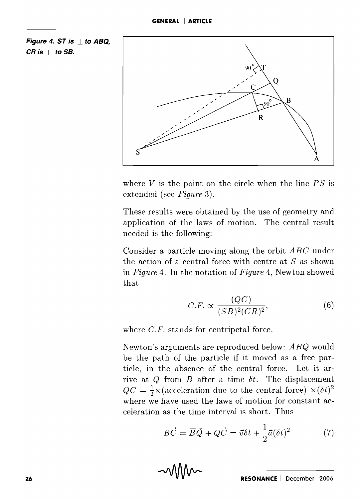**Figure 4. ST is .1 to ABQ,**   $CR$  **is**  $\perp$  **to SB.** 



where  $V$  is the point on the circle when the line  $PS$  is extended (see *Figure* 3).

These results were obtained by the use of geometry and application of the laws of motion. The central result needed is the following:

Consider a particle moving along the orbit *ABC* under the action of a central force with centre at *S* as shown in *Figure* 4. **In** the notation of *Figure* 4, Newton showed that

$$
C.F. \propto \frac{(QC)}{(SB)^2 (CR)^2},\tag{6}
$$

where *C.F.* stands for centripetal force.

Newton's arguments are reproduced below: *ABQ* would be the path of the particle if it moved as a free particle, in the absence of the central force. Let it arrive at  $Q$  from  $B$  after a time  $\delta t$ . The displacement  $QC = \frac{1}{2} \times (\text{acceleration due to the central force}) \times (\delta t)^2$ where we have used the laws of motion for constant ac-

celeration as the time interval is short. Thus

\n
$$
\overrightarrow{BC} = \overrightarrow{BQ} + \overrightarrow{QC} = \overrightarrow{v}\delta t + \frac{1}{2}\overrightarrow{a}(\delta t)^2 \tag{7}
$$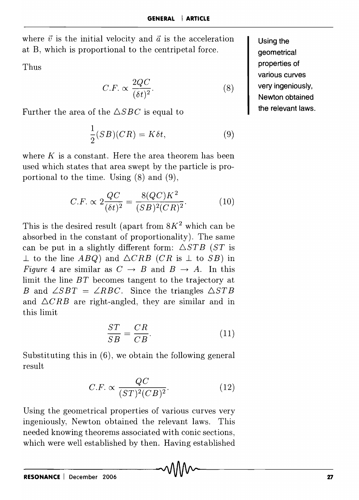where  $\vec{v}$  is the initial velocity and  $\vec{a}$  is the acceleration at B, which is proportional to the centripetal force.

Thus

$$
C.F. \propto \frac{2QC}{(\delta t)^2}.
$$
 (8)

Further the area of the  $\triangle SBC$  is equal to

$$
\frac{1}{2}(SB)(CR) = K\delta t,\tag{9}
$$

where *K* is a constant. Here the area theorem has been used which states that area swept by the particle is proportional to the time. Using (8) and (9),

$$
C.F. \propto 2 \frac{QC}{(\delta t)^2} = \frac{8(QC)K^2}{(SB)^2(CR)^2}.
$$
 (10)

This is the desired result (apart from  $8K^2$  which can be absorbed in the constant of proportionality). The same can be put in a slightly different form:  $\triangle STB$  ( $ST$  is  $\perp$  to the line *ABQ*) and  $\triangle CRB$  (*CR* is  $\perp$  to *SB*) in *Figure* 4 are similar as  $C \rightarrow B$  and  $B \rightarrow A$ . In this limit the line *BT* becomes tangent to the trajectory at B and  $\angle SBT = \angle RBC$ . Since the triangles  $\triangle STB$ and  $\triangle CRB$  are right-angled, they are similar and in this limit

$$
\frac{ST}{SB} = \frac{CR}{CB}.\tag{11}
$$

Substituting this in (6), we obtain the following general result

$$
C.F. \propto \frac{QC}{(ST)^2 (CB)^2}.
$$
 (12)

Using the geometrical properties of various curves very ingeniously, Newton obtained the relevant laws. This needed knowing theorems associated with conic sections, which were well established by then. Having established

**Using the geometrical properties of various curves very ingeniously, Newton obtained the relevant laws.**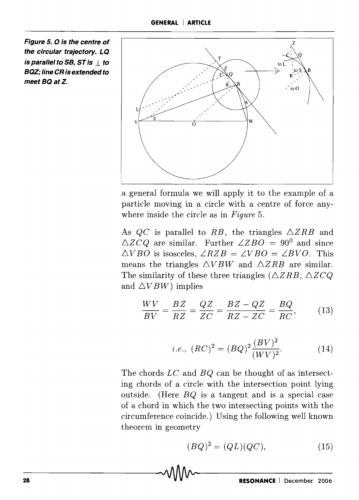**Figure 5. 0 is the centre of the circular trajectory. LQ**  *is parallel to SB, ST is \to* **BQZ; line CR is extended to**  meet BQ at Z.



a general formula we will apply it to the example of a particle moving in a circle with a centre of force anyw here inside the circle as in *Figure* 5.

As  $QC$  is parallel to RB, the triangles  $\triangle ZRB$  and  $\triangle Z C Q$  are similar. Further  $\angle Z BO = 90^0$  and since  $\triangle VBO$  is isosceles,  $\angle RZB = \angle VBO = \angle BVO$ . This means the triangles  $\triangle VBW$  and  $\triangle ZRB$  are similar. The similarity of these three triangles ( $\triangle ZRB$ ,  $\triangle Z CQ$ and  $\triangle VBW$ ) implies

$$
\frac{WV}{BV} = \frac{BZ}{RZ} = \frac{QZ}{ZC} = \frac{BZ - QZ}{RZ - ZC} = \frac{BQ}{RC},\qquad(13)
$$

*i.e.*, 
$$
(RC)^2 = (BQ)^2 \frac{(BV)^2}{(WV)^2}
$$
. (14)

The chords *LC* and *BQ* can be thought of as intersecting chords of a circle with the intersection point lying outside. (Here *BQ* is a tangent and is a special case of a chord in which the two intersecting points with the circumference coincide.) Using the following well known theorem in geometry

$$
(BQ)^2 = (QL)(QC),\tag{15}
$$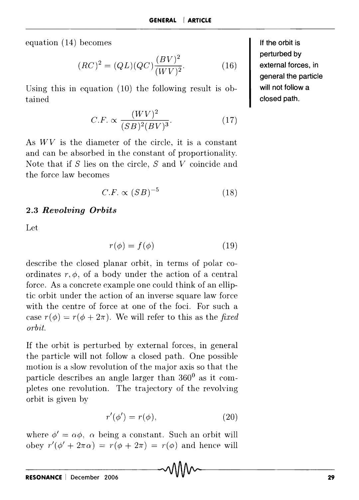equation (14) becomes

$$
(RC)^{2} = (QL)(QC)\frac{(BV)^{2}}{(WV)^{2}}.
$$
 (16)

Using this in equation (10) the following result is obtained

$$
C.F. \propto \frac{(WV)^2}{(SB)^2(BV)^3}.
$$
 (17)

As *WV* is the diameter of the circle, it is a constant and can be absorbed in the constant of proportionality. Note that if *S* lies on the circle, *S* and *V* coincide and the force law becomes

$$
C.F. \propto (SB)^{-5} \tag{18}
$$

#### **2.3** *Revolving Orbits*

Let

$$
r(\phi) = f(\phi) \tag{19}
$$

describe the closed planar orbit, in terms of polar coordinates  $r, \phi$ , of a body under the action of a central force. As a concrete example one could think of an elliptic orbit under the action of an inverse square law force with the centre of force at one of the foci. For such a case  $r(\phi) = r(\phi + 2\pi)$ . We will refer to this as the *fixed orbit.* 

If the orbit is perturbed by external forces, in general the particle will not follow a closed path. One possible motion is a slow revolution of the major axis so that the particle describes an angle larger than  $360^{\circ}$  as it completes one revolution. The trajectory of the revolving orbit is given by

$$
r'(\phi') = r(\phi),\tag{20}
$$

where  $\phi' = \alpha \phi$ ,  $\alpha$  being a constant. Such an orbit will obey  $r'(\phi' + 2\pi\alpha) = r(\phi + 2\pi) = r(\phi)$  and hence will

**If the orbit is perturbed by external forces, in general the particle will not follow a closed path.**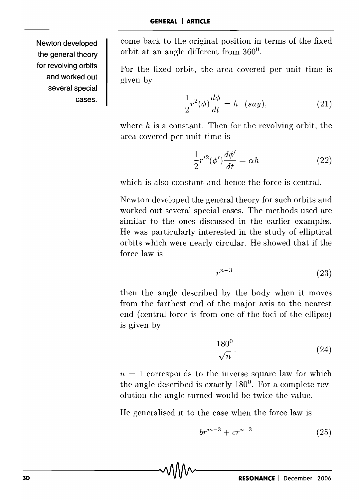**Newton developed the general theory for revolving orbits and worked out several special**  cases. come back to the original position in terms of the fixed orbit at an angle different from 360°.

For the fixed orbit, the area covered per unit time is given by

$$
\frac{1}{2}r^2(\phi)\frac{d\phi}{dt} = h \quad (say),\tag{21}
$$

where  $h$  is a constant. Then for the revolving orbit, the area covered per unit time is

$$
\frac{1}{2}r'^2(\phi')\frac{d\phi'}{dt} = \alpha h\tag{22}
$$

which is also constant and hence the force is central.

Newton developed the general theory for such orbits and worked out several special cases. The methods used are similar to the ones discussed in the earlier examples. He was particularly interested in the study of elliptical orbits which were nearly circular. He showed that if the force law is

$$
r^{n-3} \tag{23}
$$

then the angle described by the body when it moves from the farthest end of the major axis to the nearest end (central force is from one of the foci of the ellipse) is given by

$$
\frac{180^0}{\sqrt{n}}.\t(24)
$$

 $n=1$  corresponds to the inverse square law for which the angle described is exactly 180°. For a complete revolution the angle turned would be twice the value.

He generalised it to the case when the force law is

$$
br^{m-3} + cr^{n-3} \tag{25}
$$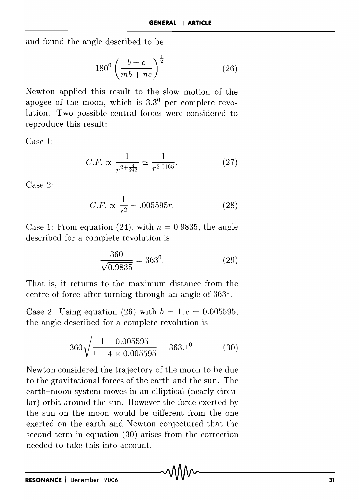and found the angle described to be

$$
180^0 \left(\frac{b+c}{mb+nc}\right)^{\frac{1}{2}}
$$
 (26)

Newton applied this result to the slow motion of the apogee of the moon, which is  $3.3<sup>0</sup>$  per complete revolution. Two possible central forces were considered to reproduce this result:

Case 1:

$$
C.F. \propto \frac{1}{r^{2 + \frac{4}{243}}} \simeq \frac{1}{r^{2.0165}}.\tag{27}
$$

Case 2:

$$
C.F. \propto \frac{1}{r^2} - .005595r.
$$
 (28)

Case 1: From equation (24), with  $n = 0.9835$ , the angle described for a complete revolution is

$$
\frac{360}{\sqrt{0.9835}} = 363^0. \tag{29}
$$

That is, it returns to the maximum distance from the centre of force after turning through an angle of 3630 .

Case 2: Using equation (26) with  $b = 1, c = 0.005595$ , the angle described for a complete revolution is

$$
360\sqrt{\frac{1 - 0.005595}{1 - 4 \times 0.005595}} = 363.1^{\circ} \tag{30}
$$

Newton considered the trajectory of the moon to be due to the gravitational forces of the earth and the sun. The earth-moon system moves in an elliptical (nearly circular) orbit around the sun. However the force exerted by the sun on the moon would be different from the one exerted on the earth and Newton conjectured that the second term in equation (30) arises from the correction needed to take this into account.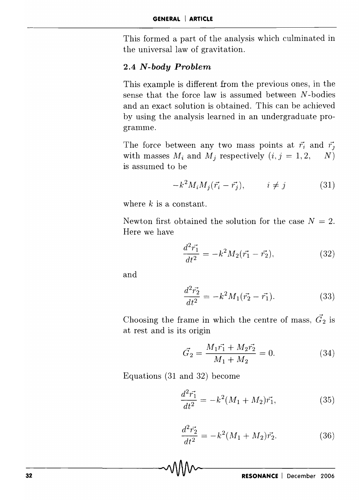This formed a part of the analysis which culminated in the universal law of gravitation.

#### **2.4** *N-body Problem*

This example is different from the previous ones, in the sense that the force law is assumed between *N* -bodies and an exact solution is obtained. This can be achieved by using the analysis learned in an undergraduate programme.

The force between any two mass points at  $\vec{r}_i$  and  $\vec{r}_i$ with masses  $M_i$  and  $M_j$  respectively  $(i, j = 1, 2, N)$ is assumed to be

$$
-k^2 M_i M_j(\vec{r_i} - \vec{r_j}), \qquad i \neq j \tag{31}
$$

where  $k$  is a constant.

Newton first obtained the solution for the case  $N = 2$ . Here we have

$$
\frac{d^2\vec{r_1}}{dt^2} = -k^2 M_2(\vec{r_1} - \vec{r_2}),\tag{32}
$$

and

$$
\frac{d^2\vec{r_2}}{dt^2} = -k^2 M_1(\vec{r_2} - \vec{r_1}).\tag{33}
$$

Choosing the frame in which the centre of mass,  $\vec{G}_2$  is at rest and is its origin

$$
\vec{G_2} = \frac{M_1 \vec{r_1} + M_2 \vec{r_2}}{M_1 + M_2} = 0.
$$
 (34)

Equations (31 and 32) become

$$
\frac{d^2\vec{r_1}}{dt^2} = -k^2(M_1 + M_2)\vec{r_1},\tag{35}
$$

$$
\frac{d^2\vec{r_2}}{dt^2} = -k^2(M_1 + M_2)\vec{r_2}.
$$
 (36)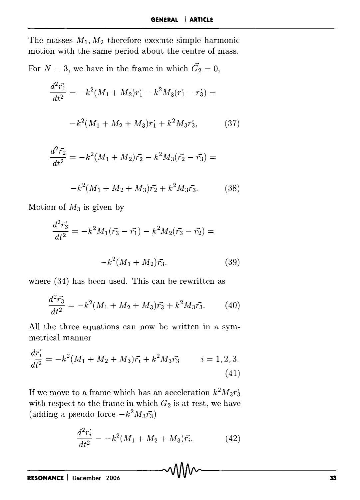The masses  $M_1, M_2$  therefore execute simple harmonic motion with the same period about the centre of mass.

For  $N = 3$ , we have in the frame in which  $\vec{G}_2 = 0$ ,

$$
\frac{d^2\vec{r_1}}{dt^2} = -k^2(M_1 + M_2)\vec{r_1} - k^2M_3(\vec{r_1} - \vec{r_3}) =
$$

$$
-k^2(M_1 + M_2 + M_3)\vec{r_1} + k^2M_3\vec{r_3}, \qquad (37)
$$

$$
\frac{d^2\vec{r_2}}{dt^2} = -k^2(M_1 + M_2)\vec{r_2} - k^2M_3(\vec{r_2} - \vec{r_3}) =
$$

$$
-k^2(M_1 + M_2 + M_3)\vec{r_2} + k^2 M_3 \vec{r_3}.
$$
 (38)

Motion of *M3* is given by

$$
\frac{d^2\vec{r_3}}{dt^2} = -k^2 M_1(\vec{r_3} - \vec{r_1}) - k^2 M_2(\vec{r_3} - \vec{r_2}) =
$$

$$
-k^2 (M_1 + M_2)\vec{r_3}, \qquad (39)
$$

where (34) has been used. This can be rewritten as

$$
\frac{d^2\vec{r_3}}{dt^2} = -k^2(M_1 + M_2 + M_3)\vec{r_3} + k^2M_3\vec{r_3}.
$$
 (40)

All the three equations can now be written in a symmetrical manner

$$
\frac{dr_i}{dt^2} = -k^2(M_1 + M_2 + M_3)\vec{r}_i + k^2 M_3 \vec{r}_3 \qquad i = 1, 2, 3.
$$
\n(41)

If we move to a frame which has an acceleration  $k^2 M_3 \vec{r_3}$ with respect to the frame in which  $G_2$  is at rest, we have (adding a pseudo force  $-k^2M_3\vec{r_3}$ )

$$
\frac{d^2\vec{r_i}}{dt^2} = -k^2(M_1 + M_2 + M_3)\vec{r_i}.\tag{42}
$$

 $\cdot$   $\rightarrow$